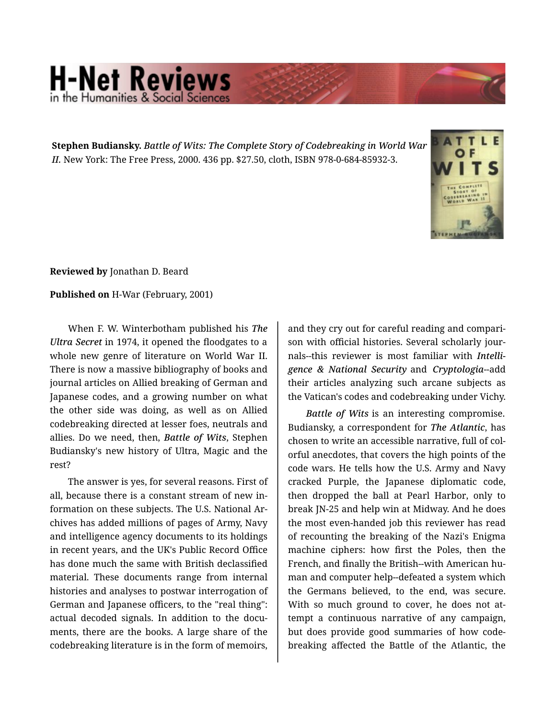## **H-Net Reviews** in the Humanities & Social Scie

**Stephen Budiansky.** *Battle of Wits: The Complete Story of Codebreaking in World War II.* New York: The Free Press, 2000. 436 pp. \$27.50, cloth, ISBN 978-0-684-85932-3.



**Reviewed by** Jonathan D. Beard

**Published on** H-War (February, 2001)

When F. W. Winterbotham published his *The Ultra Secret* in 1974, it opened the floodgates to a whole new genre of literature on World War II. There is now a massive bibliography of books and journal articles on Allied breaking of German and Japanese codes, and a growing number on what the other side was doing, as well as on Allied codebreaking directed at lesser foes, neutrals and allies. Do we need, then, *Battle of Wits*, Stephen Budiansky's new history of Ultra, Magic and the rest?

The answer is yes, for several reasons. First of all, because there is a constant stream of new in‐ formation on these subjects. The U.S. National Ar‐ chives has added millions of pages of Army, Navy and intelligence agency documents to its holdings in recent years, and the UK's Public Record Office has done much the same with British declassified material. These documents range from internal histories and analyses to postwar interrogation of German and Japanese officers, to the "real thing": actual decoded signals. In addition to the docu‐ ments, there are the books. A large share of the codebreaking literature is in the form of memoirs,

and they cry out for careful reading and compari‐ son with official histories. Several scholarly jour‐ nals--this reviewer is most familiar with *Intelli‐ gence & National Security* and *Cryptologia*--add their articles analyzing such arcane subjects as the Vatican's codes and codebreaking under Vichy.

*Battle of Wits* is an interesting compromise. Budiansky, a correspondent for *The Atlantic*, has chosen to write an accessible narrative, full of col‐ orful anecdotes, that covers the high points of the code wars. He tells how the U.S. Army and Navy cracked Purple, the Japanese diplomatic code, then dropped the ball at Pearl Harbor, only to break JN-25 and help win at Midway. And he does the most even-handed job this reviewer has read of recounting the breaking of the Nazi's Enigma machine ciphers: how first the Poles, then the French, and finally the British--with American hu‐ man and computer help--defeated a system which the Germans believed, to the end, was secure. With so much ground to cover, he does not attempt a continuous narrative of any campaign, but does provide good summaries of how code‐ breaking affected the Battle of the Atlantic, the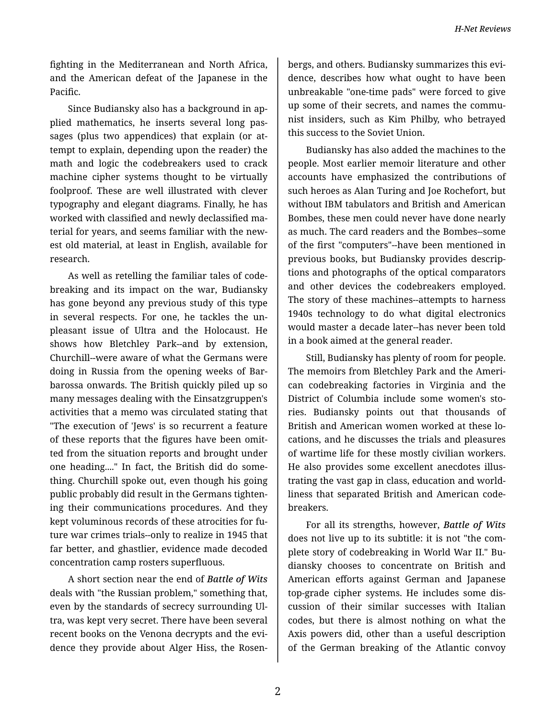*H-Net Reviews*

fighting in the Mediterranean and North Africa, and the American defeat of the Japanese in the Pacific.

Since Budiansky also has a background in ap‐ plied mathematics, he inserts several long pas‐ sages (plus two appendices) that explain (or at‐ tempt to explain, depending upon the reader) the math and logic the codebreakers used to crack machine cipher systems thought to be virtually foolproof. These are well illustrated with clever typography and elegant diagrams. Finally, he has worked with classified and newly declassified ma‐ terial for years, and seems familiar with the new‐ est old material, at least in English, available for research.

As well as retelling the familiar tales of code‐ breaking and its impact on the war, Budiansky has gone beyond any previous study of this type in several respects. For one, he tackles the un‐ pleasant issue of Ultra and the Holocaust. He shows how Bletchley Park--and by extension, Churchill--were aware of what the Germans were doing in Russia from the opening weeks of Bar‐ barossa onwards. The British quickly piled up so many messages dealing with the Einsatzgruppen's activities that a memo was circulated stating that "The execution of 'Jews' is so recurrent a feature of these reports that the figures have been omit‐ ted from the situation reports and brought under one heading...." In fact, the British did do some‐ thing. Churchill spoke out, even though his going public probably did result in the Germans tighten‐ ing their communications procedures. And they kept voluminous records of these atrocities for fu‐ ture war crimes trials--only to realize in 1945 that far better, and ghastlier, evidence made decoded concentration camp rosters superfluous.

A short section near the end of *Battle of Wits* deals with "the Russian problem," something that, even by the standards of secrecy surrounding Ul‐ tra, was kept very secret. There have been several recent books on the Venona decrypts and the evi‐ dence they provide about Alger Hiss, the Rosen‐

bergs, and others. Budiansky summarizes this evi‐ dence, describes how what ought to have been unbreakable "one-time pads" were forced to give up some of their secrets, and names the communist insiders, such as Kim Philby, who betrayed this success to the Soviet Union.

Budiansky has also added the machines to the people. Most earlier memoir literature and other accounts have emphasized the contributions of such heroes as Alan Turing and Joe Rochefort, but without IBM tabulators and British and American Bombes, these men could never have done nearly as much. The card readers and the Bombes--some of the first "computers"--have been mentioned in previous books, but Budiansky provides descrip‐ tions and photographs of the optical comparators and other devices the codebreakers employed. The story of these machines--attempts to harness 1940s technology to do what digital electronics would master a decade later--has never been told in a book aimed at the general reader.

Still, Budiansky has plenty of room for people. The memoirs from Bletchley Park and the Ameri‐ can codebreaking factories in Virginia and the District of Columbia include some women's sto‐ ries. Budiansky points out that thousands of British and American women worked at these lo‐ cations, and he discusses the trials and pleasures of wartime life for these mostly civilian workers. He also provides some excellent anecdotes illus‐ trating the vast gap in class, education and world‐ liness that separated British and American code‐ breakers.

For all its strengths, however, *Battle of Wits* does not live up to its subtitle: it is not "the com‐ plete story of codebreaking in World War II." Bu‐ diansky chooses to concentrate on British and American efforts against German and Japanese top-grade cipher systems. He includes some dis‐ cussion of their similar successes with Italian codes, but there is almost nothing on what the Axis powers did, other than a useful description of the German breaking of the Atlantic convoy